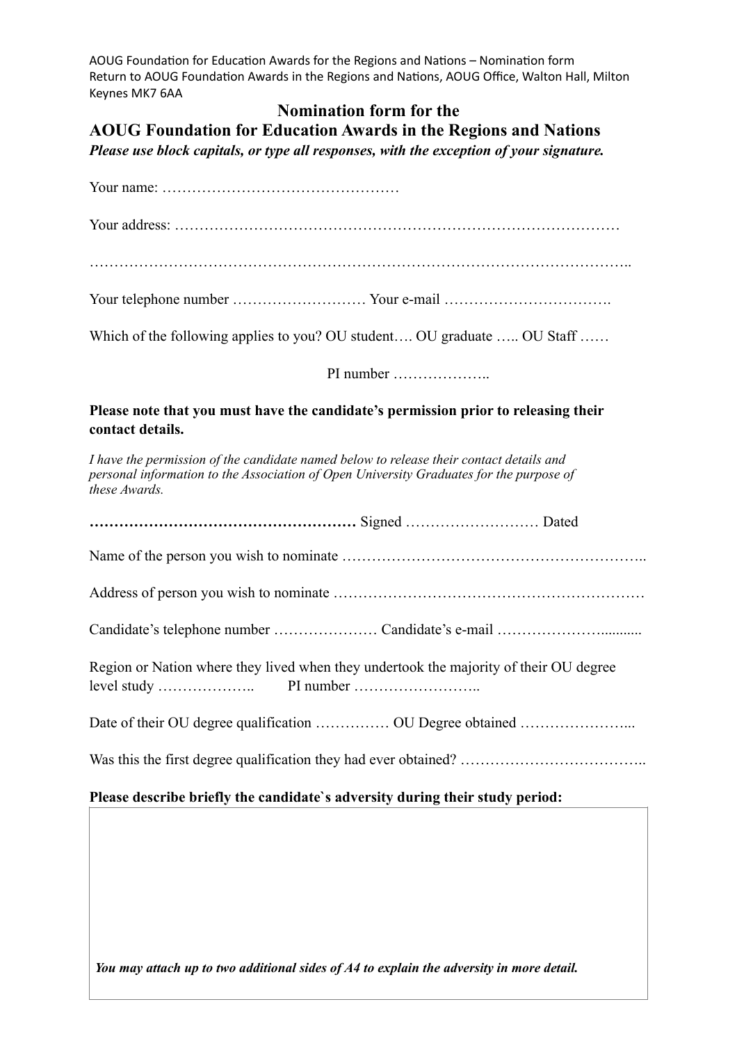AOUG Foundation for Education Awards for the Regions and Nations - Nomination form Return to AOUG Foundation Awards in the Regions and Nations, AOUG Office, Walton Hall, Milton Keynes MK7 6AA

## **Nomination form for the**

**AOUG Foundation for Education Awards in the Regions and Nations**

*Please use block capitals, or type all responses, with the exception of your signature.*

| Which of the following applies to you? OU student OU graduate  OU Staff                                                                                                                             |
|-----------------------------------------------------------------------------------------------------------------------------------------------------------------------------------------------------|
| PI number                                                                                                                                                                                           |
| Please note that you must have the candidate's permission prior to releasing their<br>contact details.                                                                                              |
| I have the permission of the candidate named below to release their contact details and<br>personal information to the Association of Open University Graduates for the purpose of<br>these Awards. |
|                                                                                                                                                                                                     |
|                                                                                                                                                                                                     |
|                                                                                                                                                                                                     |
|                                                                                                                                                                                                     |
| Region or Nation where they lived when they undertook the majority of their OU degree                                                                                                               |
| Date of their OU degree qualification  OU Degree obtained                                                                                                                                           |
|                                                                                                                                                                                                     |

*You may attach up to two additional sides of A4 to explain the adversity in more detail.*

**Please describe briefly the candidate`s adversity during their study period:**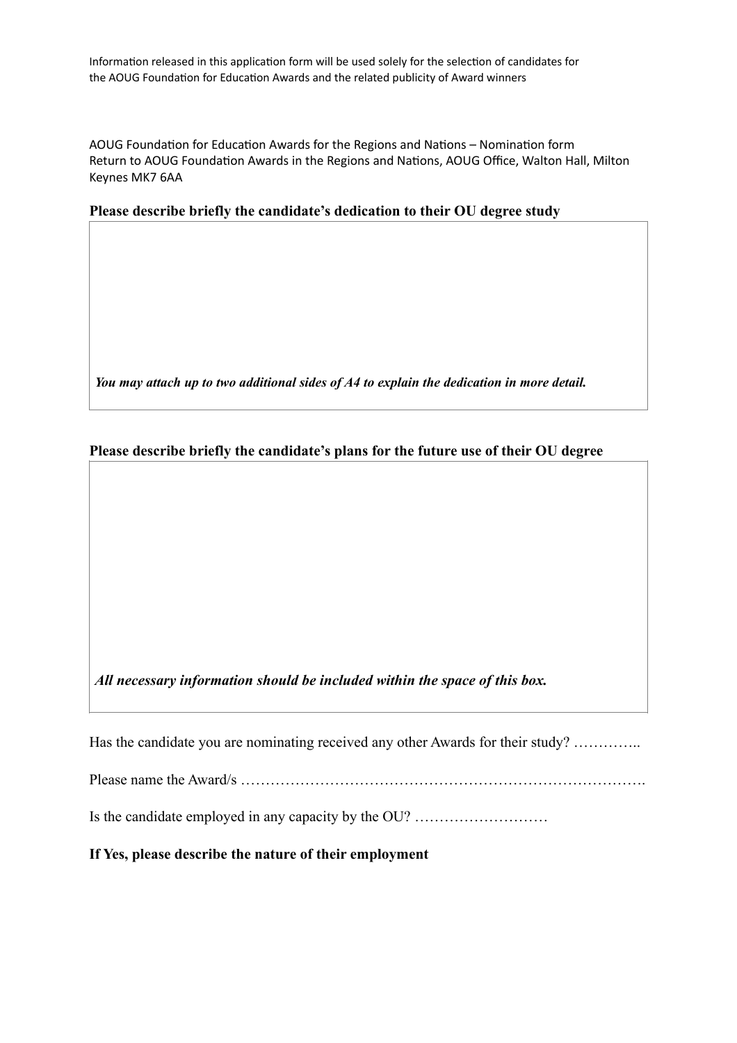Information released in this application form will be used solely for the selection of candidates for the AOUG Foundation for Education Awards and the related publicity of Award winners

AOUG Foundation for Education Awards for the Regions and Nations – Nomination form Return to AOUG Foundation Awards in the Regions and Nations, AOUG Office, Walton Hall, Milton Keynes MK7 6AA

## **Please describe briefly the candidate's dedication to their OU degree study**

*You may attach up to two additional sides of A4 to explain the dedication in more detail.*

## **Please describe briefly the candidate's plans for the future use of their OU degree**

*All necessary information should be included within the space of this box.*

Has the candidate you are nominating received any other Awards for their study? …………..

Please name the Award/s ……………………………………………………………………….

Is the candidate employed in any capacity by the OU? ………………………

**If Yes, please describe the nature of their employment**